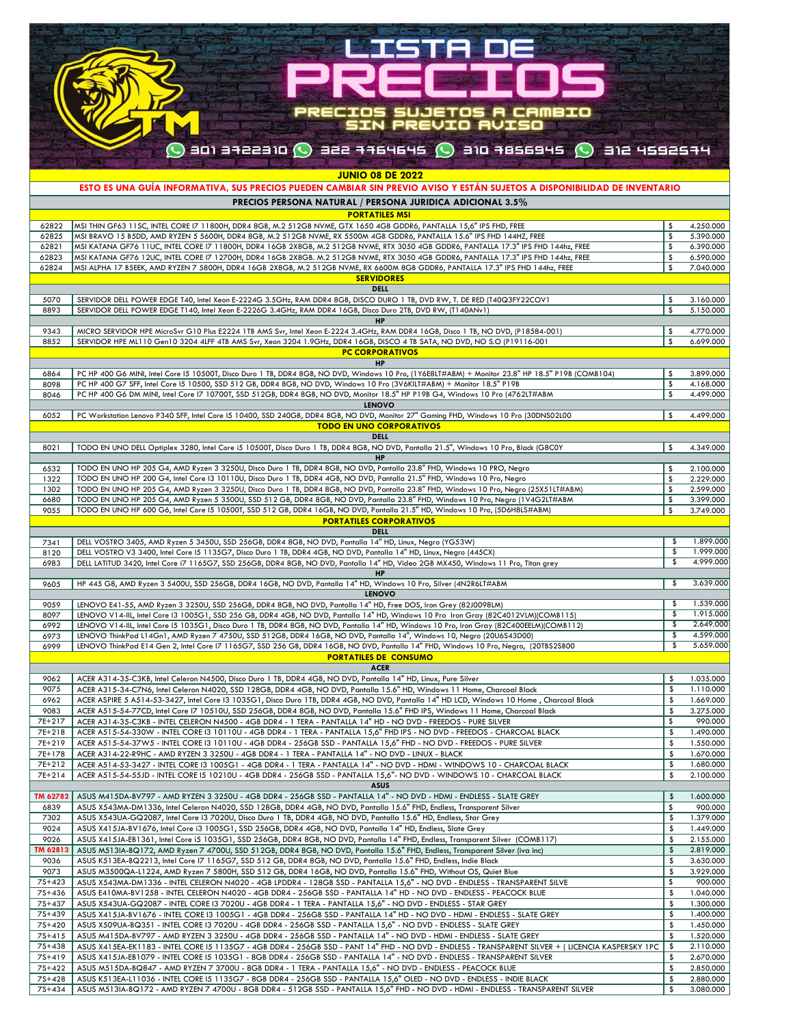|                                                          | PREEL                                                                                                                                                                                                                                                                            |                               |                        |
|----------------------------------------------------------|----------------------------------------------------------------------------------------------------------------------------------------------------------------------------------------------------------------------------------------------------------------------------------|-------------------------------|------------------------|
|                                                          |                                                                                                                                                                                                                                                                                  |                               |                        |
|                                                          |                                                                                                                                                                                                                                                                                  |                               |                        |
|                                                          | PRECIOS SUJETOS A CAMBIO<br>SIN PREVIO AVISO                                                                                                                                                                                                                                     |                               |                        |
|                                                          | $\bigcirc$ ani afazang $\bigcirc$ are are $\bigcirc$ and $\bigcirc$ are $\bigcirc$ are affected $\bigcirc$                                                                                                                                                                       |                               |                        |
|                                                          |                                                                                                                                                                                                                                                                                  |                               |                        |
|                                                          | <b>JUNIO 08 DE 2022</b>                                                                                                                                                                                                                                                          |                               |                        |
|                                                          | ESTO ES UNA GUÍA INFORMATIVA, SUS PRECIOS PUEDEN CAMBIAR SIN PREVIO AVISO Y ESTÁN SUJETOS A DISPONIBILIDAD DE INVENTARIO                                                                                                                                                         |                               |                        |
|                                                          | PRECIOS PERSONA NATURAL / PERSONA JURIDICA ADICIONAL 3.5%<br><b>PORTATILES MSI</b>                                                                                                                                                                                               |                               |                        |
| 62822                                                    | MSI THIN GF63 11SC, INTEL CORE 17 11800H, DDR4 8GB, M.2 512GB NVME, GTX 1650 4GB GDDR6, PANTALLA 15,6" IPS FHD, FREE                                                                                                                                                             | \$                            | 4.250.000              |
| 62825<br>62821                                           | MSI BRAVO 15 B5DD, AMD RYZEN 5 5600H, DDR4 8GB, M.2 512GB NVME, RX 5500M 4GB GDDR6, PANTALLA 15.6" IPS FHD 144HZ, FREE<br>MSI KATANA GF76 11UC, INTEL CORE 17 11800H, DDR4 16GB 2X8GB, M.2 512GB NVME, RTX 3050 4GB GDDR6, PANTALLA 17.3" IPS FHD 144hz, FREE                    | \$<br>\$                      | 5.390.000<br>6.390.000 |
| 62823                                                    | MSI KATANA GF76 12UC, INTEL CORE 17 12700H, DDR4 16GB 2X8GB. M.2 512GB NVME, RTX 3050 4GB GDDR6, PANTALLA 17.3" IPS FHD 144hz, FREE                                                                                                                                              | \$                            | 6.590.000              |
| 62824                                                    | MSI ALPHA 17 B5EEK, AMD RYZEN 7 5800H, DDR4 16GB 2X8GB, M.2 512GB NVME, RX 6600M 8GB GDDR6, PANTALLA 17.3" IPS FHD 144hz, FREE<br><b>SERVIDORES</b>                                                                                                                              | \$                            | 7.040.000              |
|                                                          | <b>DELL</b>                                                                                                                                                                                                                                                                      |                               |                        |
| 5070<br>8893                                             | SERVIDOR DELL POWER EDGE T40, Intel Xeon E-2224G 3.5GHz, RAM DDR4 8GB, DISCO DURO 1 TB, DVD RW, T. DE RED (T40Q3FY22COV1<br>SERVIDOR DELL POWER EDGE T140, Intel Xeon E-2226G 3.4GHz, RAM DDR4 16GB, Disco Duro 2TB, DVD RW, (T140ANv1)                                          | \$<br>\$                      | 3.160.000<br>5.150.000 |
|                                                          | <b>HP</b>                                                                                                                                                                                                                                                                        |                               |                        |
| 9343                                                     | MICRO SERVIDOR HPE MicroSvr G10 Plus E2224 1TB AMS Svr, Intel Xeon E-2224 3.4GHz, RAM DDR4 16GB, Disco 1 TB, NO DVD, (P18584-001)                                                                                                                                                | -\$                           | 4.770.000              |
| 8852                                                     | SERVIDOR HPE ML110 Gen10 3204 4LFF 4TB AMS Svr, Xeon 3204 1.9GHz, DDR4 16GB, DISCO 4 TB SATA, NO DVD, NO S.O (P19116-001<br><b>PC CORPORATIVOS</b>                                                                                                                               | \$                            | 6.699.000              |
|                                                          | <b>HP</b>                                                                                                                                                                                                                                                                        |                               |                        |
| 6864<br>8098                                             | PC HP 400 G6 MINI, Intel Core 15 10500T, Disco Duro 1 TB, DDR4 8GB, NO DVD, Windows 10 Pro, (1Y6E8LT#ABM) + Monitor 23.8" HP 18.5" P19B (COMB104)<br>PC HP 400 G7 SFF, Intel Core 15 10500, SSD 512 GB, DDR4 8GB, NO DVD, Windows 10 Pro (3V6KILT#ABM) + Monitor 18.5" P19B      | - \$<br>\$                    | 3.899.000<br>4.168.000 |
| 8046                                                     | PC HP 400 G6 DM MINI, Intel Core I7 10700T, SSD 512GB, DDR4 8GB, NO DVD, Monitor 18.5" HP P19B G4, Windows 10 Pro (4762LT#ABM                                                                                                                                                    | \$                            | 4.499.000              |
| 6052                                                     | <b>LENOVO</b><br>PC Workstation Lenovo P340 SFF, Intel Core 15 10400, SSD 240GB, DDR4 8GB, NO DVD, Monitor 27" Gaming FHD, Windows 10 Pro (30DNS02L00                                                                                                                            | Ŝ.                            | 4.499.000              |
|                                                          | <b>TODO EN UNO CORPORATIVOS</b>                                                                                                                                                                                                                                                  |                               |                        |
| 8021                                                     | <b>DELL</b><br>TODO EN UNO DELL Optiplex 3280, Intel Core i5 10500T, Disco Duro 1 TB, DDR4 8GB, NO DVD, Pantalla 21.5", Windows 10 Pro, Black (G8C0Y                                                                                                                             | - \$                          | 4.349.000              |
|                                                          | <b>HP</b>                                                                                                                                                                                                                                                                        |                               |                        |
| 6532<br>1322                                             | TODO EN UNO HP 205 G4, AMD Ryzen 3 3250U, Disco Duro 1 TB, DDR4 8GB, NO DVD, Pantalla 23.8" FHD, Windows 10 PRO, Negro<br>TODO EN UNO HP 200 G4, Intel Core 13 10110U, Disco Duro 1 TB, DDR4 4GB, NO DVD, Pantalla 21.5" FHD, Windows 10 Pro, Negro                              | \$                            | 2.100.000              |
| 1302                                                     | TODO EN UNO HP 205 G4, AMD Ryzen 3 3250U, Disco Duro 1 TB, DDR4 8GB, NO DVD, Pantalla 23.8" FHD, Windows 10 Pro, Negro (25X51LT#ABM)                                                                                                                                             | \$<br>\$                      | 2.229.000<br>2.599.000 |
| 6680                                                     | TODO EN UNO HP 205 G4, AMD Ryzen 5 3500U, SSD 512 GB, DDR4 8GB, NO DVD, Pantalla 23.8" FHD, Windows 10 Pro, Negro (1V4G2LT#ABM                                                                                                                                                   | \$                            | 3.399.000              |
| 9055                                                     | TODO EN UNO HP 600 G6, Intel Core 15 10500T, SSD 512 GB, DDR4 16GB, NO DVD, Pantalla 21.5" HD, Windows 10 Pro, (5D6H8LS#ABM)<br><b>PORTATILES CORPORATIVOS</b>                                                                                                                   | Ŝ.                            | 3.749.000              |
|                                                          | <b>DELL</b>                                                                                                                                                                                                                                                                      |                               |                        |
| 7341                                                     | DELL VOSTRO 3405, AMD Ryzen 5 3450U, SSD 256GB, DDR4 8GB, NO DVD, Pantalla 14" HD, Linux, Negro (YG53W)                                                                                                                                                                          | -S                            | 1.899.000              |
| 8120<br>6983                                             | DELL VOSTRO V3 3400, Intel Core 15 1135G7, Disco Duro 1 TB, DDR4 4GB, NO DVD, Pantalla 14" HD, Linux, Negro (445CX)<br>DELL LATITUD 3420, Intel Core i7 1165G7, SSD 256GB, DDR4 8GB, NO DVD, Pantalla 14" HD, Video 2GB MX450, Windows 11 Pro, Titan grey                        | Ŝ.<br>\$                      | 1.999.000<br>4.999.000 |
|                                                          | HP                                                                                                                                                                                                                                                                               |                               |                        |
| 9605                                                     | HP 445 G8, AMD Ryzen 3 5400U, SSD 256GB, DDR4 16GB, NO DVD, Pantalla 14" HD, Windows 10 Pro, Silver (4N2R6LT#ABM<br><b>LENOVO</b>                                                                                                                                                | \$                            | 3.639.000              |
| 9059                                                     | LENOVO E41-55, AMD Ryzen 3 3250U, SSD 256GB, DDR4 8GB, NO DVD, Pantalla 14" HD, Free DOS, Iron Grey (82J0098LM)                                                                                                                                                                  | \$                            | 1.539.000              |
| 8097<br>6992                                             | LENOVO V14-IIL, Intel Core I3 1005G1, SSD 256 GB, DDR4 4GB, NO DVD, Pantalla 14" HD, Windows 10 Pro Iron Gray (82C4012VLM)(COMB115)<br>LENOVO V14-IIL, Intel Core 15 1035G1, Disco Duro 1 TB, DDR4 8GB, NO DVD, Pantalla 14" HD, Windows 10 Pro, Iron Gray (82C400EELM)(COMB112) | \$<br>$\overline{\mathsf{s}}$ | 1.915.000<br>2.649.000 |
| 6973                                                     | LENOVO ThinkPad L14Gn1, AMD Ryzen 7 4750U, SSD 512GB, DDR4 16GB, NO DVD, Pantalla 14", Windows 10, Negro (20U6S43D00)                                                                                                                                                            | \$                            | 4.599.000              |
| 6999                                                     | LENOVO ThinkPad E14 Gen 2, Intel Core I7 1165G7, SSD 256 GB, DDR4 16GB, NO DVD, Pantalla 14" FHD, Windows 10 Pro, Negro, (20TBS2SB00                                                                                                                                             | \$                            | 5.659.000              |
|                                                          | <b>PORTATILES DE CONSUMO</b><br><b>ACER</b>                                                                                                                                                                                                                                      |                               |                        |
| 9062                                                     | ACER A314-35-C3KB, Intel Celeron N4500, Disco Duro 1 TB, DDR4 4GB, NO DVD, Pantalla 14" HD, Linux, Pure Silver                                                                                                                                                                   | \$                            | 1.035.000              |
| 9075                                                     | ACER A315-34-C7N6, Intel Celeron N4020, SSD 128GB, DDR4 4GB, NO DVD, Pantalla 15.6" HD, Windows 11 Home, Charcoal Black                                                                                                                                                          | \$                            | 1.110.000              |
| 6962<br>9083                                             | ACER ASPIRE 5 A514-53-3427, Intel Core 13 1035G1, Disco Duro 1TB, DDR4 4GB, NO DVD, Pantalla 14" HD LCD, Windows 10 Home, Charcoal Black<br>ACER A515-54-77CD, Intel Core 17 10510U, SSD 256GB, DDR4 8GB, NO DVD, Pantalla 15.6" FHD IPS, Windows 11 Home, Charcoal Black        | \$<br>\$                      | 1.669.000<br>3.275.000 |
| 7E+217                                                   | ACER A314-35-C3KB - INTEL CELERON N4500 - 4GB DDR4 - 1 TERA - PANTALLA 14" HD - NO DVD - FREEDOS - PURE SILVER                                                                                                                                                                   | \$                            | 990.000                |
| 7E+218                                                   | ACER A515-54-330W - INTEL CORE 13 10110U - 4GB DDR4 - 1 TERA - PANTALLA 15,6" FHD IPS - NO DVD - FREEDOS - CHARCOAL BLACK                                                                                                                                                        | \$                            | 1.490.000              |
| 7E+219<br>7E+178                                         | ACER A515-54-37W5 - INTEL CORE 13 10110U - 4GB DDR4 - 256GB SSD - PANTALLA 15,6" FHD - NO DVD - FREEDOS - PURE SILVER<br>ACER A314-22-R9HC - AMD RYZEN 3 3250U - 4GB DDR4 - 1 TERA - PANTALLA 14" - NO DVD - LINUX - BLACK                                                       | \$<br>\$                      | 1.550.000<br>1.670.000 |
| 7E+212                                                   | ACER A514-53-3427 - INTEL CORE 13 1005G1 - 4GB DDR4 - 1 TERA - PANTALLA 14" - NO DVD - HDMI - WINDOWS 10 - CHARCOAL BLACK                                                                                                                                                        | \$                            | 1.680.000              |
| 7E+214                                                   | ACER A515-54-55JD - INTEL CORE 15 10210U - 4GB DDR4 - 256GB SSD - PANTALLA 15,6"- NO DVD - WINDOWS 10 - CHARCOAL BLACK                                                                                                                                                           | \$                            | 2.100.000              |
| TM 62782                                                 | <b>ASUS</b><br>ASUS M415DA-BV797 - AMD RYZEN 3 3250U - 4GB DDR4 - 256GB SSD - PANTALLA 14" - NO DVD - HDMI - ENDLESS - SLATE GREY                                                                                                                                                | \$                            | 1.600.000              |
| 6839                                                     | ASUS X543MA-DM1336, Intel Celeron N4020, SSD 128GB, DDR4 4GB, NO DVD, Pantalla 15.6" FHD, Endless, Transparent Silver                                                                                                                                                            | \$                            | 900.000                |
| 7302<br>9024                                             | ASUS X543UA-GQ2087, Intel Core I3 7020U, Disco Duro 1 TB, DDR4 4GB, NO DVD, Pantalla 15.6" HD, Endless, Star Grey<br>ASUS X415JA-BV1676, Intel Core i3 1005G1, SSD 256GB, DDR4 4GB, NO DVD, Pantalla 14" HD, Endless, Slate Grey                                                 | \$<br>\$                      | 1.379.000<br>1.449.000 |
| 9026                                                     | ASUS X415JA-EB1361, Intel Core i5 1035G1, SSD 256GB, DDR4 8GB, NO DVD, Pantalla 14" FHD, Endless, Transparent Silver (COMB117)                                                                                                                                                   | \$                            | 2.155.000              |
| TM 62813                                                 | ASUS M513IA-BQ172, AMD Ryzen 7 4700U, SSD 512GB, DDR4 8GB, NO DVD, Pantalla 15.6" FHD, Endless, Transparent Silver (iva inc)                                                                                                                                                     | \$                            | 2.819.000              |
| 9036<br>9073                                             | ASUS K513EA-BQ2213, Intel Core I7 1165G7, SSD 512 GB, DDR4 8GB, NO DVD, Pantalla 15.6" FHD, Endless, Indie Black<br>ASUS M3500QA-L1224, AMD Ryzen 7 5800H, SSD 512 GB, DDR4 16GB, NO DVD, Pantalla 15.6" FHD, Without OS, Quiet Blue                                             | \$<br>\$                      | 3.630.000<br>3.929.000 |
| 7S+423                                                   | ASUS X543MA-DM1336 - INTEL CELERON N4020 - 4GB LPDDR4 - 128GB SSD - PANTALLA 15,6" - NO DVD - ENDLESS - TRANSPARENT SILVE                                                                                                                                                        | \$                            | 900.000                |
| 7S+436                                                   | ASUS E410MA-BV1258 - INTEL CELERON N4020 - 4GB DDR4 - 256GB SSD - PANTALLA 14" HD - NO DVD - ENDLESS - PEACOCK BLUE                                                                                                                                                              | \$                            | 1.040.000              |
| 7S+437<br>7S+439                                         | ASUS X543UA-GQ2087 - INTEL CORE 13 7020U - 4GB DDR4 - 1 TERA - PANTALLA 15,6" - NO DVD - ENDLESS - STAR GREY<br>ASUS X415JA-BV1676 - INTEL CORE 13 1005G1 - 4GB DDR4 - 256GB SSD - PANTALLA 14" HD - NO DVD - HDMI - ENDLESS - SLATE GREY                                        | \$<br>\$                      | 1.300.000<br>1.400.000 |
|                                                          | ASUS X509UA-BQ351 - INTEL CORE I3 7020U - 4GB DDR4 - 256GB SSD - PANTALLA 15,6" - NO DVD - ENDLESS - SLATE GREY                                                                                                                                                                  | \$                            | 1.450.000              |
|                                                          | ASUS M415DA-BV797 - AMD RYZEN 3 3250U - 4GB DDR4 - 256GB SSD - PANTALLA 14" - NO DVD - HDMI - ENDLESS - SLATE GREY                                                                                                                                                               | \$                            | 1.520.000              |
|                                                          |                                                                                                                                                                                                                                                                                  |                               |                        |
|                                                          | ASUS X415EA-EK1183 - INTEL CORE 15 1135G7 - 4GB DDR4 - 256GB SSD - PANT 14" FHD - NO DVD - ENDLESS - TRANSPARENT SILVER + (LICENCIA KASPERSKY 1PC<br>ASUS X415JA-EB1079 - INTEL CORE 15 1035G1 - 8GB DDR4 - 256GB SSD - PANTALLA 14" - NO DVD - ENDLESS - TRANSPARENT SILVER     | \$<br>\$                      | 2.110.000<br>2.670.000 |
| 7S+420<br>7S+415<br>7S+438<br>7S+419<br>7S+422<br>7S+428 | ASUS M515DA-BQ847 - AMD RYZEN 7 3700U - 8GB DDR4 - 1 TERA - PANTALLA 15,6" - NO DVD - ENDLESS - PEACOCK BLUE<br>ASUS K513EA-L11036 - INTEL CORE I5 1135G7 - 8GB DDR4 - 256GB SSD - PANTALLA 15,6" OLED - NO DVD - ENDLESS - INDIE BLACK                                          | \$<br>\$                      | 2.850.000<br>2.880.000 |